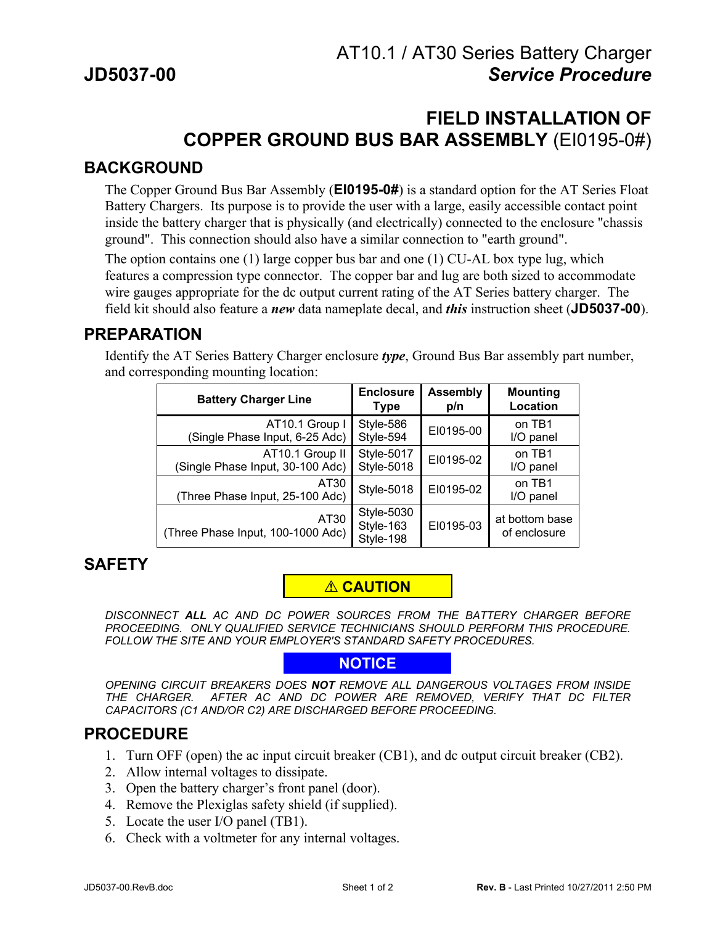# **FIELD INSTALLATION OF COPPER GROUND BUS BAR ASSEMBLY** (EI0195-0#)

#### **BACKGROUND**

The Copper Ground Bus Bar Assembly (**EI0195-0#**) is a standard option for the AT Series Float Battery Chargers. Its purpose is to provide the user with a large, easily accessible contact point inside the battery charger that is physically (and electrically) connected to the enclosure "chassis ground". This connection should also have a similar connection to "earth ground".

The option contains one (1) large copper bus bar and one (1) CU-AL box type lug, which features a compression type connector. The copper bar and lug are both sized to accommodate wire gauges appropriate for the dc output current rating of the AT Series battery charger. The field kit should also feature a *new* data nameplate decal, and *this* instruction sheet (**JD5037-00**).

#### **PREPARATION**

Identify the AT Series Battery Charger enclosure *type*, Ground Bus Bar assembly part number, and corresponding mounting location:

| <b>Battery Charger Line</b>               | <b>Enclosure</b>                            | <b>Assembly</b> | <b>Mounting</b>                |
|-------------------------------------------|---------------------------------------------|-----------------|--------------------------------|
|                                           | <b>Type</b>                                 | p/n             | Location                       |
| AT10.1 Group I                            | Style-586                                   | EI0195-00       | on TB1                         |
| (Single Phase Input, 6-25 Adc)            | Style-594                                   |                 | I/O panel                      |
| AT10.1 Group II                           | <b>Style-5017</b>                           | EI0195-02       | on TB1                         |
| (Single Phase Input, 30-100 Adc)          | Style-5018                                  |                 | I/O panel                      |
| AT30<br>(Three Phase Input, 25-100 Adc)   | <b>Style-5018</b>                           | EI0195-02       | on TB1<br>I/O panel            |
| AT30<br>(Three Phase Input, 100-1000 Adc) | <b>Style-5030</b><br>Style-163<br>Style-198 | EI0195-03       | at bottom base<br>of enclosure |

### **SAFETY**

### ! **CAUTION**

*DISCONNECT ALL AC AND DC POWER SOURCES FROM THE BATTERY CHARGER BEFORE PROCEEDING. ONLY QUALIFIED SERVICE TECHNICIANS SHOULD PERFORM THIS PROCEDURE. FOLLOW THE SITE AND YOUR EMPLOYER'S STANDARD SAFETY PROCEDURES.*

#### **NOTICE**

*OPENING CIRCUIT BREAKERS DOES NOT REMOVE ALL DANGEROUS VOLTAGES FROM INSIDE THE CHARGER. AFTER AC AND DC POWER ARE REMOVED, VERIFY THAT DC FILTER CAPACITORS (C1 AND/OR C2) ARE DISCHARGED BEFORE PROCEEDING.*

### **PROCEDURE**

- 1. Turn OFF (open) the ac input circuit breaker (CB1), and dc output circuit breaker (CB2).
- 2. Allow internal voltages to dissipate.
- 3. Open the battery charger's front panel (door).
- 4. Remove the Plexiglas safety shield (if supplied).
- 5. Locate the user I/O panel (TB1).
- 6. Check with a voltmeter for any internal voltages.